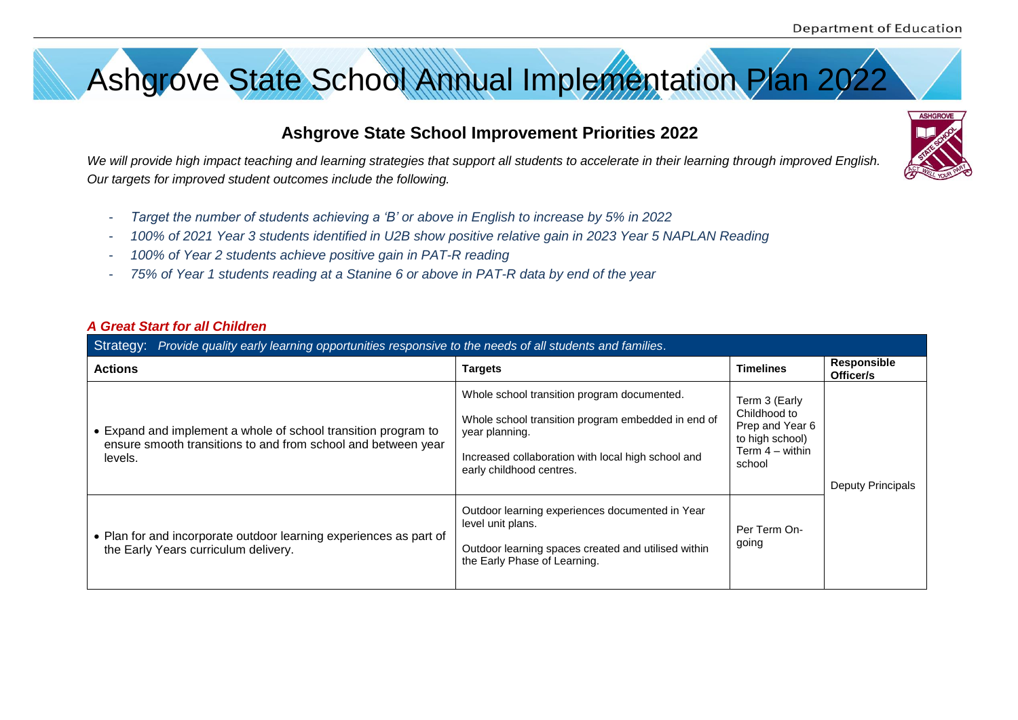**ASHGROVE** 



# **Ashgrove State School Improvement Priorities 2022**

*We will provide high impact teaching and learning strategies that support all students to accelerate in their learning through improved English. Our targets for improved student outcomes include the following.*

- *Target the number of students achieving a 'B' or above in English to increase by 5% in 2022*
- *100% of 2021 Year 3 students identified in U2B show positive relative gain in 2023 Year 5 NAPLAN Reading*
- *100% of Year 2 students achieve positive gain in PAT-R reading*
- *75% of Year 1 students reading at a Stanine 6 or above in PAT-R data by end of the year*

#### *A Great Start for all Children*

| Provide quality early learning opportunities responsive to the needs of all students and families.<br>Strategy:                            |                                                                                                                                                                                                       |                                                                                                    |                                 |  |
|--------------------------------------------------------------------------------------------------------------------------------------------|-------------------------------------------------------------------------------------------------------------------------------------------------------------------------------------------------------|----------------------------------------------------------------------------------------------------|---------------------------------|--|
| <b>Actions</b>                                                                                                                             | <b>Targets</b>                                                                                                                                                                                        | <b>Timelines</b>                                                                                   | <b>Responsible</b><br>Officer/s |  |
| • Expand and implement a whole of school transition program to<br>ensure smooth transitions to and from school and between year<br>levels. | Whole school transition program documented.<br>Whole school transition program embedded in end of<br>year planning.<br>Increased collaboration with local high school and<br>early childhood centres. | Term 3 (Early<br>Childhood to<br>Prep and Year 6<br>to high school)<br>Term $4 -$ within<br>school | <b>Deputy Principals</b>        |  |
| • Plan for and incorporate outdoor learning experiences as part of<br>the Early Years curriculum delivery.                                 | Outdoor learning experiences documented in Year<br>level unit plans.<br>Outdoor learning spaces created and utilised within<br>the Early Phase of Learning.                                           | Per Term On-<br>going                                                                              |                                 |  |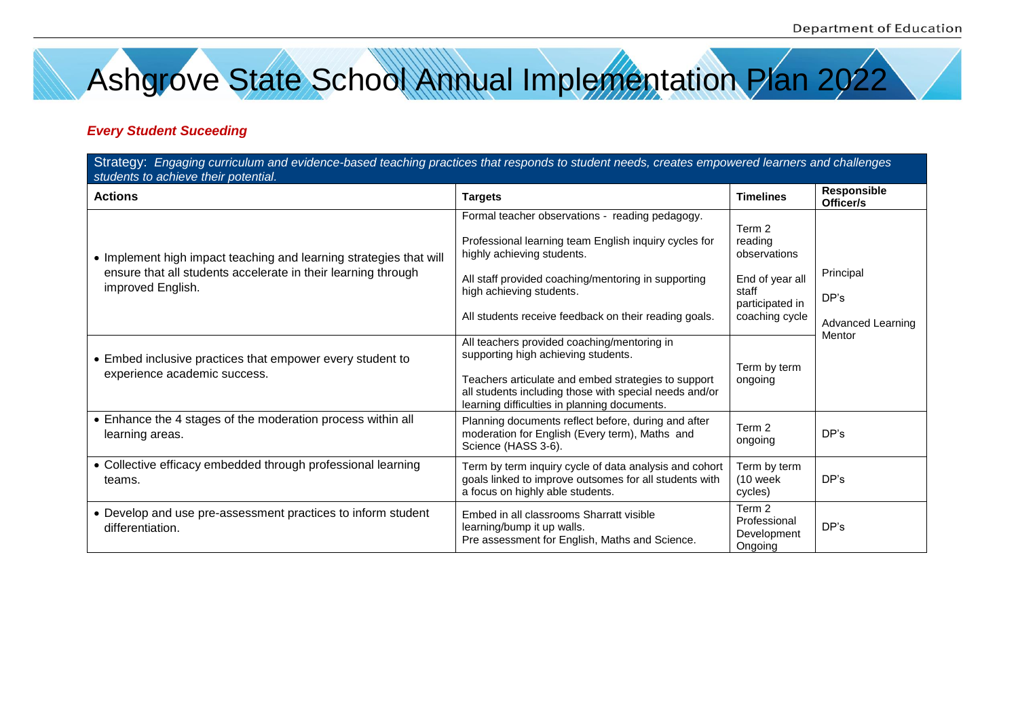Ashgrove State School Annual Implementation Plan 2022

### *Every Student Suceeding*

| Strategy: Engaging curriculum and evidence-based teaching practices that responds to student needs, creates empowered learners and challenges<br>students to achieve their potential. |                                                                                                                                                                                                                                                                                    |                                                                                                    |                                               |
|---------------------------------------------------------------------------------------------------------------------------------------------------------------------------------------|------------------------------------------------------------------------------------------------------------------------------------------------------------------------------------------------------------------------------------------------------------------------------------|----------------------------------------------------------------------------------------------------|-----------------------------------------------|
| <b>Actions</b>                                                                                                                                                                        | <b>Targets</b>                                                                                                                                                                                                                                                                     | <b>Timelines</b>                                                                                   | Responsible<br>Officer/s                      |
| • Implement high impact teaching and learning strategies that will<br>ensure that all students accelerate in their learning through<br>improved English.                              | Formal teacher observations - reading pedagogy.<br>Professional learning team English inquiry cycles for<br>highly achieving students.<br>All staff provided coaching/mentoring in supporting<br>high achieving students.<br>All students receive feedback on their reading goals. | Term 2<br>reading<br>observations<br>End of year all<br>staff<br>participated in<br>coaching cycle | Principal<br>DP's<br><b>Advanced Learning</b> |
| • Embed inclusive practices that empower every student to<br>experience academic success.                                                                                             | All teachers provided coaching/mentoring in<br>supporting high achieving students.<br>Teachers articulate and embed strategies to support<br>all students including those with special needs and/or<br>learning difficulties in planning documents.                                | Term by term<br>ongoing                                                                            | Mentor                                        |
| • Enhance the 4 stages of the moderation process within all<br>learning areas.                                                                                                        | Planning documents reflect before, during and after<br>moderation for English (Every term), Maths and<br>Science (HASS 3-6).                                                                                                                                                       | Term 2<br>ongoing                                                                                  | DP's                                          |
| • Collective efficacy embedded through professional learning<br>teams.                                                                                                                | Term by term inquiry cycle of data analysis and cohort<br>goals linked to improve outsomes for all students with<br>a focus on highly able students.                                                                                                                               | Term by term<br>$(10$ week<br>cycles)                                                              | DP's                                          |
| • Develop and use pre-assessment practices to inform student<br>differentiation.                                                                                                      | Embed in all classrooms Sharratt visible<br>learning/bump it up walls.<br>Pre assessment for English, Maths and Science.                                                                                                                                                           | Term 2<br>Professional<br>Development<br>Ongoing                                                   | DP's                                          |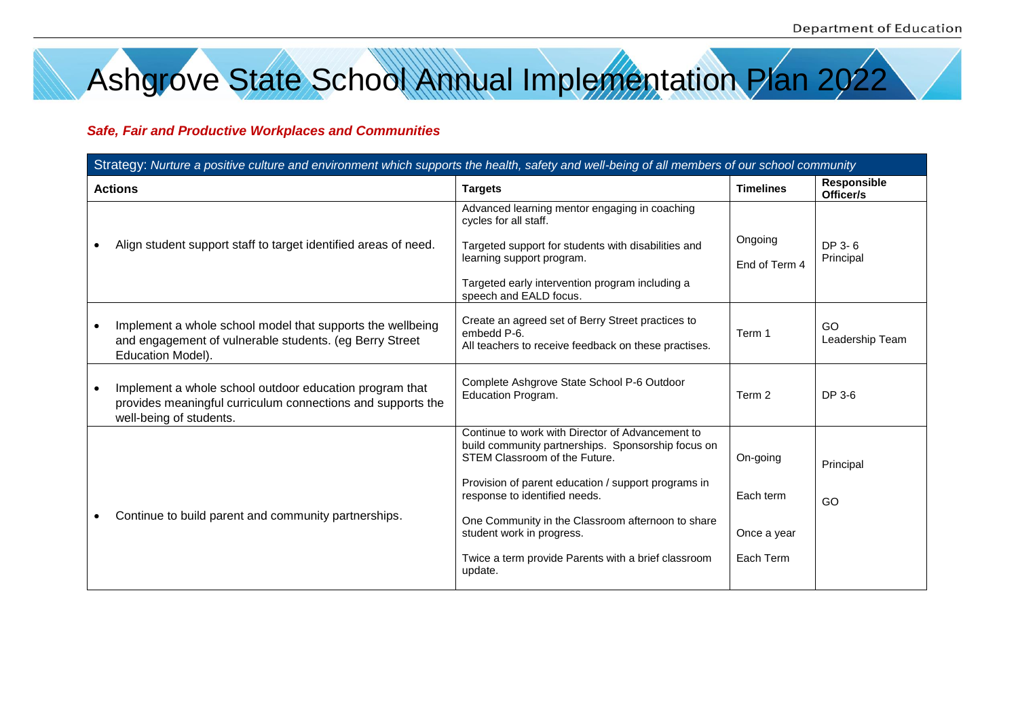Ashgrove State School Annual Implementation Plan 2022

#### *Safe, Fair and Productive Workplaces and Communities*

| Strategy: Nurture a positive culture and environment which supports the health, safety and well-being of all members of our school community |                                                                                                                                                   |                                                                                                                                                                                                                                                                                                                                                                                     |                                                   |                          |
|----------------------------------------------------------------------------------------------------------------------------------------------|---------------------------------------------------------------------------------------------------------------------------------------------------|-------------------------------------------------------------------------------------------------------------------------------------------------------------------------------------------------------------------------------------------------------------------------------------------------------------------------------------------------------------------------------------|---------------------------------------------------|--------------------------|
|                                                                                                                                              | <b>Actions</b>                                                                                                                                    | <b>Targets</b>                                                                                                                                                                                                                                                                                                                                                                      | <b>Timelines</b>                                  | Responsible<br>Officer/s |
|                                                                                                                                              | Align student support staff to target identified areas of need.                                                                                   | Advanced learning mentor engaging in coaching<br>cycles for all staff.<br>Targeted support for students with disabilities and<br>learning support program.<br>Targeted early intervention program including a<br>speech and EALD focus.                                                                                                                                             | Ongoing<br>End of Term 4                          | DP 3-6<br>Principal      |
|                                                                                                                                              | Implement a whole school model that supports the wellbeing<br>and engagement of vulnerable students. (eg Berry Street<br>Education Model).        | Create an agreed set of Berry Street practices to<br>embedd P-6.<br>All teachers to receive feedback on these practises.                                                                                                                                                                                                                                                            | Term 1                                            | GO<br>Leadership Team    |
|                                                                                                                                              | Implement a whole school outdoor education program that<br>provides meaningful curriculum connections and supports the<br>well-being of students. | Complete Ashgrove State School P-6 Outdoor<br>Education Program.                                                                                                                                                                                                                                                                                                                    | Term 2                                            | DP 3-6                   |
|                                                                                                                                              | Continue to build parent and community partnerships.                                                                                              | Continue to work with Director of Advancement to<br>build community partnerships. Sponsorship focus on<br>STEM Classroom of the Future.<br>Provision of parent education / support programs in<br>response to identified needs.<br>One Community in the Classroom afternoon to share<br>student work in progress.<br>Twice a term provide Parents with a brief classroom<br>update. | On-going<br>Each term<br>Once a year<br>Each Term | Principal<br>GO          |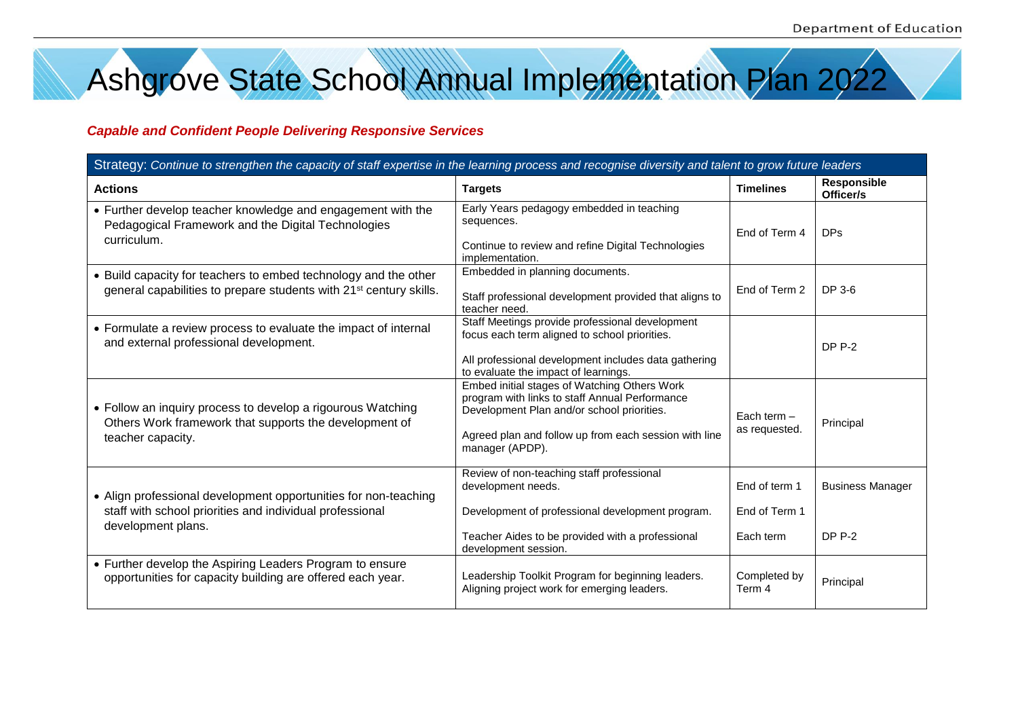Ashgrove State School Annual Implementation Plan 2022

#### *Capable and Confident People Delivering Responsive Services*

| Strategy: Continue to strengthen the capacity of staff expertise in the learning process and recognise diversity and talent to grow future leaders |                                                                                                                                                                                                                          |                                             |                                          |  |  |
|----------------------------------------------------------------------------------------------------------------------------------------------------|--------------------------------------------------------------------------------------------------------------------------------------------------------------------------------------------------------------------------|---------------------------------------------|------------------------------------------|--|--|
| <b>Actions</b>                                                                                                                                     | <b>Targets</b>                                                                                                                                                                                                           | <b>Timelines</b>                            | <b>Responsible</b><br>Officer/s          |  |  |
| • Further develop teacher knowledge and engagement with the<br>Pedagogical Framework and the Digital Technologies<br>curriculum.                   | Early Years pedagogy embedded in teaching<br>sequences.<br>Continue to review and refine Digital Technologies<br>implementation.                                                                                         | End of Term 4                               | <b>DPs</b>                               |  |  |
| • Build capacity for teachers to embed technology and the other<br>general capabilities to prepare students with 21 <sup>st</sup> century skills.  | Embedded in planning documents.<br>Staff professional development provided that aligns to<br>teacher need.                                                                                                               | End of Term 2                               | DP 3-6                                   |  |  |
| • Formulate a review process to evaluate the impact of internal<br>and external professional development.                                          | Staff Meetings provide professional development<br>focus each term aligned to school priorities.<br>All professional development includes data gathering<br>to evaluate the impact of learnings.                         |                                             | <b>DP P-2</b>                            |  |  |
| • Follow an inquiry process to develop a rigourous Watching<br>Others Work framework that supports the development of<br>teacher capacity.         | Embed initial stages of Watching Others Work<br>program with links to staff Annual Performance<br>Development Plan and/or school priorities.<br>Agreed plan and follow up from each session with line<br>manager (APDP). | Each term $-$<br>as requested.              | Principal                                |  |  |
| • Align professional development opportunities for non-teaching<br>staff with school priorities and individual professional<br>development plans.  | Review of non-teaching staff professional<br>development needs.<br>Development of professional development program.<br>Teacher Aides to be provided with a professional<br>development session.                          | End of term 1<br>End of Term 1<br>Each term | <b>Business Manager</b><br><b>DP P-2</b> |  |  |
| • Further develop the Aspiring Leaders Program to ensure<br>opportunities for capacity building are offered each year.                             | Leadership Toolkit Program for beginning leaders.<br>Aligning project work for emerging leaders.                                                                                                                         | Completed by<br>Term 4                      | Principal                                |  |  |